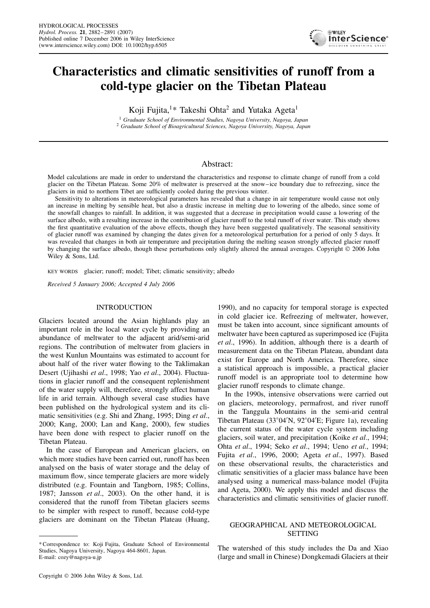

# **Characteristics and climatic sensitivities of runoff from a cold-type glacier on the Tibetan Plateau**

Koji Fujita,<sup>1\*</sup> Takeshi Ohta<sup>2</sup> and Yutaka Ageta<sup>1</sup>

<sup>1</sup> *Graduate School of Environmental Studies, Nagoya University, Nagoya, Japan* <sup>2</sup> *Graduate School of Bioagricultural Sciences, Nagoya University, Nagoya, Japan*

## Abstract:

Model calculations are made in order to understand the characteristics and response to climate change of runoff from a cold glacier on the Tibetan Plateau. Some 20% of meltwater is preserved at the snow–ice boundary due to refreezing, since the glaciers in mid to northern Tibet are sufficiently cooled during the previous winter.

Sensitivity to alterations in meteorological parameters has revealed that a change in air temperature would cause not only an increase in melting by sensible heat, but also a drastic increase in melting due to lowering of the albedo, since some of the snowfall changes to rainfall. In addition, it was suggested that a decrease in precipitation would cause a lowering of the surface albedo, with a resulting increase in the contribution of glacier runoff to the total runoff of river water. This study shows the first quantitative evaluation of the above effects, though they have been suggested qualitatively. The seasonal sensitivity of glacier runoff was examined by changing the dates given for a meteorological perturbation for a period of only 5 days. It was revealed that changes in both air temperature and precipitation during the melting season strongly affected glacier runoff by changing the surface albedo, though these perturbations only slightly altered the annual averages. Copyright  $\circ$  2006 John Wiley & Sons, Ltd.

KEY WORDS glacier; runoff; model; Tibet; climatic sensitivity; albedo

*Received 5 January 2006; Accepted 4 July 2006*

### INTRODUCTION

Glaciers located around the Asian highlands play an important role in the local water cycle by providing an abundance of meltwater to the adjacent arid/semi-arid regions. The contribution of meltwater from glaciers in the west Kunlun Mountains was estimated to account for about half of the river water flowing to the Taklimakan Desert (Ujihashi *et al*., 1998; Yao *et al*., 2004). Fluctuations in glacier runoff and the consequent replenishment of the water supply will, therefore, strongly affect human life in arid terrain. Although several case studies have been published on the hydrological system and its climatic sensitivities (e.g. Shi and Zhang, 1995; Ding *et al*., 2000; Kang, 2000; Lan and Kang, 2000), few studies have been done with respect to glacier runoff on the Tibetan Plateau.

In the case of European and American glaciers, on which more studies have been carried out, runoff has been analysed on the basis of water storage and the delay of maximum flow, since temperate glaciers are more widely distributed (e.g. Fountain and Tangborn, 1985; Collins, 1987; Jansson *et al*., 2003). On the other hand, it is considered that the runoff from Tibetan glaciers seems to be simpler with respect to runoff, because cold-type glaciers are dominant on the Tibetan Plateau (Huang,

1990), and no capacity for temporal storage is expected in cold glacier ice. Refreezing of meltwater, however, must be taken into account, since significant amounts of meltwater have been captured as superimposed ice (Fujita *et al*., 1996). In addition, although there is a dearth of measurement data on the Tibetan Plateau, abundant data exist for Europe and North America. Therefore, since a statistical approach is impossible, a practical glacier runoff model is an appropriate tool to determine how glacier runoff responds to climate change.

In the 1990s, intensive observations were carried out on glaciers, meteorology, permafrost, and river runoff in the Tanggula Mountains in the semi-arid central Tibetan Plateau (33°04'N, 92°04'E; Figure 1a), revealing the current status of the water cycle system including glaciers, soil water, and precipitation (Koike *et al*., 1994; Ohta *et al*., 1994; Seko *et al*., 1994; Ueno *et al*., 1994; Fujita *et al*., 1996, 2000; Ageta *et al*., 1997). Based on these observational results, the characteristics and climatic sensitivities of a glacier mass balance have been analysed using a numerical mass-balance model (Fujita and Ageta, 2000). We apply this model and discuss the characteristics and climatic sensitivities of glacier runoff.

## GEOGRAPHICAL AND METEOROLOGICAL **SETTING**

The watershed of this study includes the Da and Xiao (large and small in Chinese) Dongkemadi Glaciers at their

<sup>\*</sup> Correspondence to: Koji Fujita, Graduate School of Environmental Studies, Nagoya University, Nagoya 464-8601, Japan. E-mail: cozy@nagoya-u.jp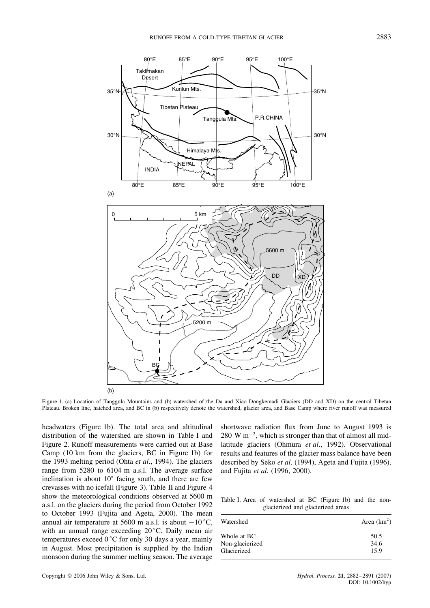

Figure 1. (a) Location of Tanggula Mountains and (b) watershed of the Da and Xiao Dongkemadi Glaciers (DD and XD) on the central Tibetan Plateau. Broken line, hatched area, and BC in (b) respectively denote the watershed, glacier area, and Base Camp where river runoff was measured

headwaters (Figure 1b). The total area and altitudinal distribution of the watershed are shown in Table I and Figure 2. Runoff measurements were carried out at Base Camp (10 km from the glaciers, BC in Figure 1b) for the 1993 melting period (Ohta *et al*., 1994). The glaciers range from 5280 to 6104 m a.s.l. The average surface inclination is about 10° facing south, and there are few crevasses with no icefall (Figure 3). Table II and Figure 4 show the meteorological conditions observed at 5600 m a.s.l. on the glaciers during the period from October 1992 to October 1993 (Fujita and Ageta, 2000). The mean annual air temperature at 5600 m a.s.l. is about  $-10$  °C, with an annual range exceeding 20 °C. Daily mean air temperatures exceed  $0^{\circ}$ C for only 30 days a year, mainly in August. Most precipitation is supplied by the Indian monsoon during the summer melting season. The average

shortwave radiation flux from June to August 1993 is  $280 \text{ W m}^{-2}$ , which is stronger than that of almost all midlatitude glaciers (Ohmura *et al*., 1992). Observational results and features of the glacier mass balance have been described by Seko *et al*. (1994), Ageta and Fujita (1996), and Fujita *et al*. (1996, 2000).

| Table I. Area of watershed at BC (Figure 1b) and the non- |                                   |  |  |
|-----------------------------------------------------------|-----------------------------------|--|--|
|                                                           | glacierized and glacierized areas |  |  |

| Watershed       | Area $(km^2)$ |
|-----------------|---------------|
| Whole at BC     | 50.5          |
| Non-glacierized | 34.6          |
| Glacierized     | 15.9          |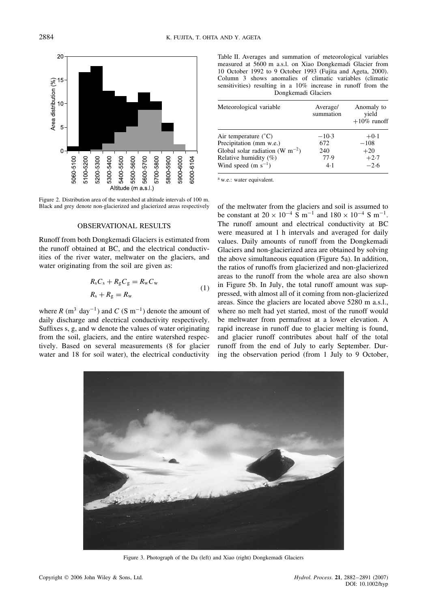

Figure 2. Distribution area of the watershed at altitude intervals of 100 m. Black and grey denote non-glacierized and glacierized areas respectively

## OBSERVATIONAL RESULTS

Runoff from both Dongkemadi Glaciers is estimated from the runoff obtained at BC, and the electrical conductivities of the river water, meltwater on the glaciers, and water originating from the soil are given as:

$$
R_s C_s + R_g C_g = R_w C_w
$$
  
\n
$$
R_s + R_g = R_w
$$
\n(1)

where R (m<sup>3</sup> day<sup>-1</sup>) and C (S m<sup>-1</sup>) denote the amount of daily discharge and electrical conductivity respectively. Suffixes s, g, and w denote the values of water originating from the soil, glaciers, and the entire watershed respectively. Based on several measurements (8 for glacier water and 18 for soil water), the electrical conductivity

Table II. Averages and summation of meteorological variables measured at 5600 m a.s.l. on Xiao Dongkemadi Glacier from 10 October 1992 to 9 October 1993 (Fujita and Ageta, 2000). Column 3 shows anomalies of climatic variables (climatic sensitivities) resulting in a 10% increase in runoff from the Dongkemadi Glaciers

| Meteorological variable              | Average/<br>summation | Anomaly to<br>yield<br>$+10\%$ runoff |
|--------------------------------------|-----------------------|---------------------------------------|
| Air temperature $(^{\circ}C)$        | $-10.3$               | $+0.1$                                |
| Precipitation (mm w.e.)              | 672                   | $-108$                                |
| Global solar radiation (W $m^{-2}$ ) | 240                   | $+20$                                 |
| Relative humidity $(\%)$             | 77.9                  | $+2.7$                                |
| Wind speed (m $s^{-1}$ )             | 4.1                   | $-2.6$                                |

a w.e.: water equivalent.

of the meltwater from the glaciers and soil is assumed to be constant at  $20 \times 10^{-4}$  S m<sup>-1</sup> and  $180 \times 10^{-4}$  S m<sup>-1</sup>. The runoff amount and electrical conductivity at BC were measured at 1 h intervals and averaged for daily values. Daily amounts of runoff from the Dongkemadi Glaciers and non-glacierized area are obtained by solving the above simultaneous equation (Figure 5a). In addition, the ratios of runoffs from glacierized and non-glacierized areas to the runoff from the whole area are also shown in Figure 5b. In July, the total runoff amount was suppressed, with almost all of it coming from non-glacierized areas. Since the glaciers are located above 5280 m a.s.l., where no melt had yet started, most of the runoff would be meltwater from permafrost at a lower elevation. A rapid increase in runoff due to glacier melting is found, and glacier runoff contributes about half of the total runoff from the end of July to early September. During the observation period (from 1 July to 9 October,



Figure 3. Photograph of the Da (left) and Xiao (right) Dongkemadi Glaciers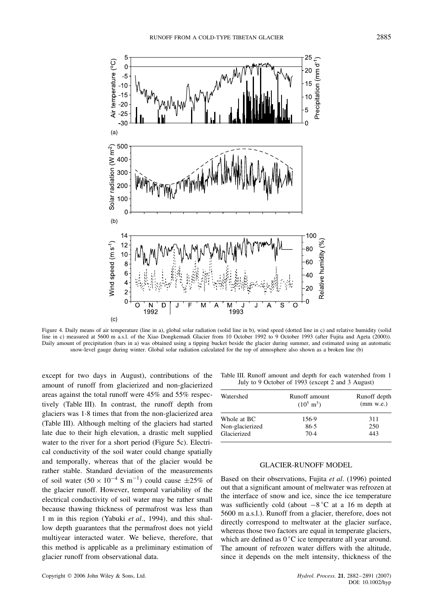

Figure 4. Daily means of air temperature (line in a), global solar radiation (solid line in b), wind speed (dotted line in c) and relative humidity (solid line in c) measured at 5600 m a.s.l. of the Xiao Dongkemadi Glacier from 10 October 1992 to 9 October 1993 (after Fujita and Ageta (2000)). Daily amount of precipitation (bars in a) was obtained using a tipping bucket beside the glacier during summer, and estimated using an automatic snow-level gauge during winter. Global solar radiation calculated for the top of atmosphere also shown as a broken line (b)

except for two days in August), contributions of the amount of runoff from glacierized and non-glacierized areas against the total runoff were 45% and 55% respectively (Table III). In contrast, the runoff depth from glaciers was 1.8 times that from the non-glacierized area (Table III). Although melting of the glaciers had started late due to their high elevation, a drastic melt supplied water to the river for a short period (Figure 5c). Electrical conductivity of the soil water could change spatially and temporally, whereas that of the glacier would be rather stable. Standard deviation of the measurements of soil water  $(50 \times 10^{-4} \text{ S m}^{-1})$  could cause  $\pm 25\%$  of the glacier runoff. However, temporal variability of the electrical conductivity of soil water may be rather small because thawing thickness of permafrost was less than 1 m in this region (Yabuki *et al*., 1994), and this shallow depth guarantees that the permafrost does not yield multiyear interacted water. We believe, therefore, that this method is applicable as a preliminary estimation of glacier runoff from observational data.

Table III. Runoff amount and depth for each watershed from 1 July to 9 October of 1993 (except 2 and 3 August)

| Watershed       | Runoff amount<br>$(10^5 \text{ m}^3)$ | Runoff depth<br>$(mm$ w.e.) |
|-----------------|---------------------------------------|-----------------------------|
| Whole at BC     | 156.9                                 | 311                         |
| Non-glacierized | 86.5                                  | 250                         |
| Glacierized     | 70.4                                  | 443                         |

## GLACIER-RUNOFF MODEL

Based on their observations, Fujita *et al*. (1996) pointed out that a significant amount of meltwater was refrozen at the interface of snow and ice, since the ice temperature was sufficiently cold (about  $-8$ °C at a 16 m depth at 5600 m a.s.l.). Runoff from a glacier, therefore, does not directly correspond to meltwater at the glacier surface, whereas those two factors are equal in temperate glaciers, which are defined as  $0^{\circ}$ C ice temperature all year around. The amount of refrozen water differs with the altitude, since it depends on the melt intensity, thickness of the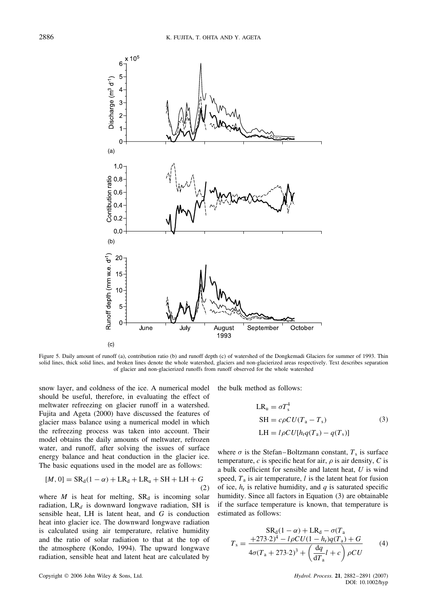

Figure 5. Daily amount of runoff (a), contribution ratio (b) and runoff depth (c) of watershed of the Dongkemadi Glaciers for summer of 1993. Thin solid lines, thick solid lines, and broken lines denote the whole watershed, glaciers and non-glacierized areas respectively. Text describes separation of glacier and non-glacierized runoffs from runoff observed for the whole watershed

snow layer, and coldness of the ice. A numerical model should be useful, therefore, in evaluating the effect of meltwater refreezing on glacier runoff in a watershed. Fujita and Ageta (2000) have discussed the features of glacier mass balance using a numerical model in which the refreezing process was taken into account. Their model obtains the daily amounts of meltwater, refrozen water, and runoff, after solving the issues of surface energy balance and heat conduction in the glacier ice. The basic equations used in the model are as follows:

$$
[M, 0] = SRd(1 - \alpha) + LRd + LRu + SH + LH + G
$$
\n(2)

where  $M$  is heat for melting,  $SR<sub>d</sub>$  is incoming solar radiation,  $LR_d$  is downward longwave radiation, SH is sensible heat, LH is latent heat, and G is conduction heat into glacier ice. The downward longwave radiation is calculated using air temperature, relative humidity and the ratio of solar radiation to that at the top of the atmosphere (Kondo, 1994). The upward longwave radiation, sensible heat and latent heat are calculated by the bulk method as follows:

$$
LR_{u} = \sigma T_{s}^{4}
$$
  
\n
$$
SH = c\rho CU(T_{a} - T_{s})
$$
\n
$$
LH = l\rho CU[h_{r}q(T_{a}) - q(T_{s})]
$$
\n(3)

where  $\sigma$  is the Stefan–Boltzmann constant,  $T_s$  is surface temperature,  $c$  is specific heat for air,  $\rho$  is air density,  $C$  is a bulk coefficient for sensible and latent heat, U is wind speed,  $T_a$  is air temperature, l is the latent heat for fusion of ice,  $h_r$  is relative humidity, and q is saturated specific humidity. Since all factors in Equation (3) are obtainable if the surface temperature is known, that temperature is estimated as follows:

$$
S R_{d}(1 - \alpha) + LR_{d} - \sigma (T_{a})
$$
  
\n
$$
T_{s} = \frac{+273.2)^{4} - l\rho C U (1 - h_{r}) q (T_{a}) + G}{4\sigma (T_{a} + 273.2)^{3} + \left(\frac{dq}{dT_{a}} l + c\right) \rho C U}
$$
 (4)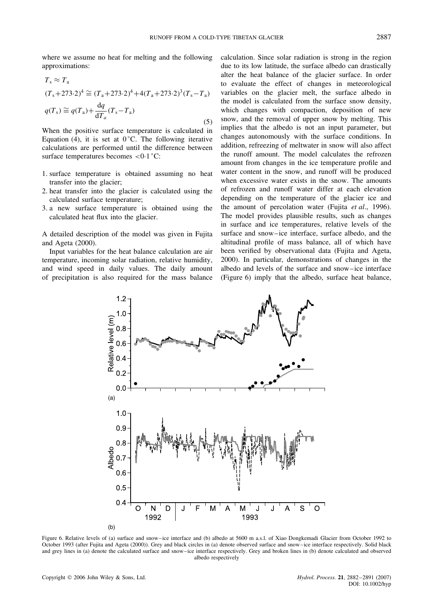where we assume no heat for melting and the following approximations:

$$
T_s \approx T_a
$$
  
\n
$$
(T_s + 273.2)^4 \cong (T_a + 273.2)^4 + 4(T_a + 273.2)^3 (T_s - T_a)
$$
  
\n
$$
q(T_s) \cong q(T_a) + \frac{dq}{dT_a} (T_s - T_a)
$$
\n(5)

When the positive surface temperature is calculated in Equation (4), it is set at  $0^{\circ}$ C. The following iterative calculations are performed until the difference between surface temperatures becomes  $\langle 0.1 \degree C$ :

- 1. surface temperature is obtained assuming no heat transfer into the glacier;
- 2. heat transfer into the glacier is calculated using the calculated surface temperature;
- 3. a new surface temperature is obtained using the calculated heat flux into the glacier.

A detailed description of the model was given in Fujita and Ageta (2000).

Input variables for the heat balance calculation are air temperature, incoming solar radiation, relative humidity, and wind speed in daily values. The daily amount of precipitation is also required for the mass balance calculation. Since solar radiation is strong in the region due to its low latitude, the surface albedo can drastically alter the heat balance of the glacier surface. In order to evaluate the effect of changes in meteorological variables on the glacier melt, the surface albedo in the model is calculated from the surface snow density, which changes with compaction, deposition of new snow, and the removal of upper snow by melting. This implies that the albedo is not an input parameter, but changes autonomously with the surface conditions. In addition, refreezing of meltwater in snow will also affect the runoff amount. The model calculates the refrozen amount from changes in the ice temperature profile and water content in the snow, and runoff will be produced when excessive water exists in the snow. The amounts of refrozen and runoff water differ at each elevation depending on the temperature of the glacier ice and the amount of percolation water (Fujita *et al*., 1996). The model provides plausible results, such as changes in surface and ice temperatures, relative levels of the surface and snow–ice interface, surface albedo, and the altitudinal profile of mass balance, all of which have been verified by observational data (Fujita and Ageta, 2000). In particular, demonstrations of changes in the albedo and levels of the surface and snow–ice interface (Figure 6) imply that the albedo, surface heat balance,



Figure 6. Relative levels of (a) surface and snow–ice interface and (b) albedo at 5600 m a.s.l. of Xiao Dongkemadi Glacier from October 1992 to October 1993 (after Fujita and Ageta (2000)). Grey and black circles in (a) denote observed surface and snow–ice interface respectively. Solid black and grey lines in (a) denote the calculated surface and snow–ice interface respectively. Grey and broken lines in (b) denote calculated and observed albedo respectively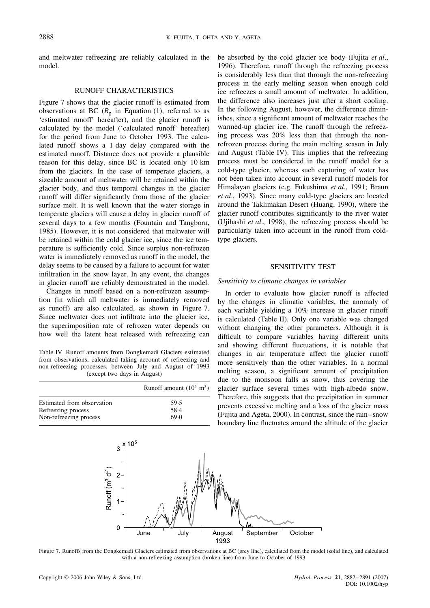and meltwater refreezing are reliably calculated in the model.

## RUNOFF CHARACTERISTICS

Figure 7 shows that the glacier runoff is estimated from observations at BC ( $R<sub>g</sub>$  in Equation (1), referred to as 'estimated runoff' hereafter), and the glacier runoff is calculated by the model ('calculated runoff' hereafter) for the period from June to October 1993. The calculated runoff shows a 1 day delay compared with the estimated runoff. Distance does not provide a plausible reason for this delay, since BC is located only 10 km from the glaciers. In the case of temperate glaciers, a sizeable amount of meltwater will be retained within the glacier body, and thus temporal changes in the glacier runoff will differ significantly from those of the glacier surface melt. It is well known that the water storage in temperate glaciers will cause a delay in glacier runoff of several days to a few months (Fountain and Tangborn, 1985). However, it is not considered that meltwater will be retained within the cold glacier ice, since the ice temperature is sufficiently cold. Since surplus non-refrozen water is immediately removed as runoff in the model, the delay seems to be caused by a failure to account for water infiltration in the snow layer. In any event, the changes in glacier runoff are reliably demonstrated in the model.

Changes in runoff based on a non-refrozen assumption (in which all meltwater is immediately removed as runoff) are also calculated, as shown in Figure 7. Since meltwater does not infiltrate into the glacier ice, the superimposition rate of refrozen water depends on how well the latent heat released with refreezing can

Table IV. Runoff amounts from Dongkemadi Glaciers estimated from observations, calculated taking account of refreezing and non-refreezing processes, between July and August of 1993 (except two days in August)

|                            | Runoff amount $(10^5 \text{ m}^3)$ |
|----------------------------|------------------------------------|
| Estimated from observation | 59.5                               |
| Refreezing process         | 58.4                               |
| Non-refreezing process     | 69.0                               |

be absorbed by the cold glacier ice body (Fujita *et al*., 1996). Therefore, runoff through the refreezing process is considerably less than that through the non-refreezing process in the early melting season when enough cold ice refreezes a small amount of meltwater. In addition, the difference also increases just after a short cooling. In the following August, however, the difference diminishes, since a significant amount of meltwater reaches the warmed-up glacier ice. The runoff through the refreezing process was 20% less than that through the nonrefrozen process during the main melting season in July and August (Table IV). This implies that the refreezing process must be considered in the runoff model for a cold-type glacier, whereas such capturing of water has not been taken into account in several runoff models for Himalayan glaciers (e.g. Fukushima *et al*., 1991; Braun *et al*., 1993). Since many cold-type glaciers are located around the Taklimakan Desert (Huang, 1990), where the glacier runoff contributes significantly to the river water (Ujihashi *et al*., 1998), the refreezing process should be particularly taken into account in the runoff from coldtype glaciers.

#### SENSITIVITY TEST

#### *Sensitivity to climatic changes in variables*

In order to evaluate how glacier runoff is affected by the changes in climatic variables, the anomaly of each variable yielding a 10% increase in glacier runoff is calculated (Table II). Only one variable was changed without changing the other parameters. Although it is difficult to compare variables having different units and showing different fluctuations, it is notable that changes in air temperature affect the glacier runoff more sensitively than the other variables. In a normal melting season, a significant amount of precipitation due to the monsoon falls as snow, thus covering the glacier surface several times with high-albedo snow. Therefore, this suggests that the precipitation in summer prevents excessive melting and a loss of the glacier mass (Fujita and Ageta, 2000). In contrast, since the rain–snow boundary line fluctuates around the altitude of the glacier



Figure 7. Runoffs from the Dongkemadi Glaciers estimated from observations at BC (grey line), calculated from the model (solid line), and calculated with a non-refreezing assumption (broken line) from June to October of 1993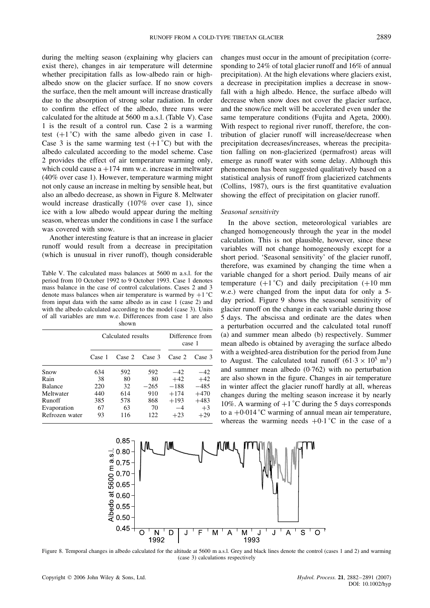during the melting season (explaining why glaciers can exist there), changes in air temperature will determine whether precipitation falls as low-albedo rain or highalbedo snow on the glacier surface. If no snow covers the surface, then the melt amount will increase drastically due to the absorption of strong solar radiation. In order to confirm the effect of the albedo, three runs were calculated for the altitude at 5600 m a.s.l. (Table V). Case 1 is the result of a control run. Case 2 is a warming test  $(+1^{\circ}C)$  with the same albedo given in case 1. Case 3 is the same warming test  $(+1^{\circ}C)$  but with the albedo calculated according to the model scheme. Case 2 provides the effect of air temperature warming only, which could cause  $a + 174$  mm w.e. increase in meltwater (40% over case 1). However, temperature warming might not only cause an increase in melting by sensible heat, but also an albedo decrease, as shown in Figure 8. Meltwater would increase drastically (107% over case 1), since ice with a low albedo would appear during the melting season, whereas under the conditions in case 1 the surface was covered with snow.

Another interesting feature is that an increase in glacier runoff would result from a decrease in precipitation (which is unusual in river runoff), though considerable

Table V. The calculated mass balances at 5600 m a.s.l. for the period from 10 October 1992 to 9 October 1993. Case 1 denotes mass balance in the case of control calculations. Cases 2 and 3 denote mass balances when air temperature is warmed by  $+1$  °C from input data with the same albedo as in case 1 (case 2) and with the albedo calculated according to the model (case 3). Units of all variables are mm w.e. Differences from case 1 are also shown

|                | Calculated results |        |        | Difference from<br>case 1 |        |  |
|----------------|--------------------|--------|--------|---------------------------|--------|--|
|                | Case 1             | Case 2 | Case 3 | Case 2                    | Case 3 |  |
| Snow           | 634                | 592    | 592    | $-42$                     | $-42$  |  |
| Rain           | 38                 | 80     | 80     | $+42$                     | $+42$  |  |
| Balance        | 220                | 32     | $-265$ | $-188$                    | $-485$ |  |
| Meltwater      | 440                | 614    | 910    | $+174$                    | $+470$ |  |
| Runoff         | 385                | 578    | 868    | $+193$                    | $+483$ |  |
| Evaporation    | 67                 | 63     | 70     | $-4$                      | $+3$   |  |
| Refrozen water | 93                 | 116    | 122    | $+23$                     | $+29$  |  |

changes must occur in the amount of precipitation (corresponding to 24% of total glacier runoff and 16% of annual precipitation). At the high elevations where glaciers exist, a decrease in precipitation implies a decrease in snowfall with a high albedo. Hence, the surface albedo will decrease when snow does not cover the glacier surface, and the snow/ice melt will be accelerated even under the same temperature conditions (Fujita and Ageta, 2000). With respect to regional river runoff, therefore, the contribution of glacier runoff will increase/decrease when precipitation decreases/increases, whereas the precipitation falling on non-glacierized (permafrost) areas will emerge as runoff water with some delay. Although this phenomenon has been suggested qualitatively based on a statistical analysis of runoff from glacierized catchments (Collins, 1987), ours is the first quantitative evaluation showing the effect of precipitation on glacier runoff.

#### *Seasonal sensitivity*

In the above section, meteorological variables are changed homogeneously through the year in the model calculation. This is not plausible, however, since these variables will not change homogeneously except for a short period. 'Seasonal sensitivity' of the glacier runoff, therefore, was examined by changing the time when a variable changed for a short period. Daily means of air temperature  $(+1 \degree C)$  and daily precipitation  $(+10 \text{ mm})$ w.e.) were changed from the input data for only a 5 day period. Figure 9 shows the seasonal sensitivity of glacier runoff on the change in each variable during those 5 days. The abscissa and ordinate are the dates when a perturbation occurred and the calculated total runoff (a) and summer mean albedo (b) respectively. Summer mean albedo is obtained by averaging the surface albedo with a weighted-area distribution for the period from June to August. The calculated total runoff  $(61.3 \times 10^5 \text{ m}^3)$ and summer mean albedo  $(0.762)$  with no perturbation are also shown in the figure. Changes in air temperature in winter affect the glacier runoff hardly at all, whereas changes during the melting season increase it by nearly 10%. A warming of  $+1$  °C during the 5 days corresponds to a  $+0.014$  °C warming of annual mean air temperature, whereas the warming needs  $+0.1 \degree C$  in the case of a



Figure 8. Temporal changes in albedo calculated for the altitude at 5600 m a.s.l. Grey and black lines denote the control (cases 1 and 2) and warming (case 3) calculations respectively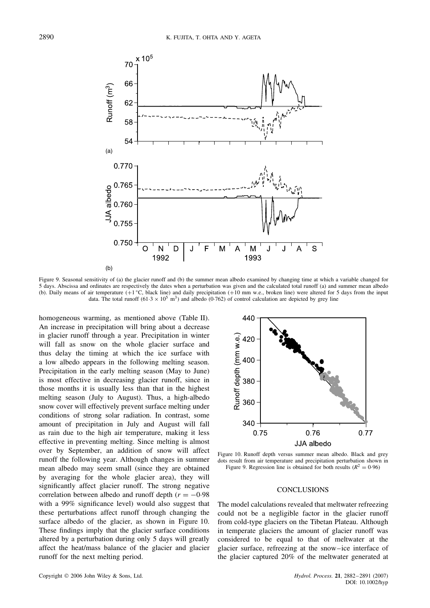

Figure 9. Seasonal sensitivity of (a) the glacier runoff and (b) the summer mean albedo examined by changing time at which a variable changed for 5 days. Abscissa and ordinates are respectively the dates when a perturbation was given and the calculated total runoff (a) and summer mean albedo (b). Daily means of air temperature  $(+1 \degree C$ , black line) and daily precipitation  $(+10 \text{ mm}$  w.e., broken line) were altered for 5 days from the input data. The total runoff  $(61.3 \times 10^5 \text{ m}^3)$  and albedo (0.762) of control calculation are depicted by grey line

homogeneous warming, as mentioned above (Table II). An increase in precipitation will bring about a decrease in glacier runoff through a year. Precipitation in winter will fall as snow on the whole glacier surface and thus delay the timing at which the ice surface with a low albedo appears in the following melting season. Precipitation in the early melting season (May to June) is most effective in decreasing glacier runoff, since in those months it is usually less than that in the highest melting season (July to August). Thus, a high-albedo snow cover will effectively prevent surface melting under conditions of strong solar radiation. In contrast, some amount of precipitation in July and August will fall as rain due to the high air temperature, making it less effective in preventing melting. Since melting is almost over by September, an addition of snow will affect runoff the following year. Although changes in summer mean albedo may seem small (since they are obtained by averaging for the whole glacier area), they will significantly affect glacier runoff. The strong negative correlation between albedo and runoff depth ( $r = -0.98$ ) with a 99% significance level) would also suggest that these perturbations affect runoff through changing the surface albedo of the glacier, as shown in Figure 10. These findings imply that the glacier surface conditions altered by a perturbation during only 5 days will greatly affect the heat/mass balance of the glacier and glacier runoff for the next melting period.



Figure 10. Runoff depth versus summer mean albedo. Black and grey dots result from air temperature and precipitation perturbation shown in Figure 9. Regression line is obtained for both results ( $R^2 = 0.96$ )

#### **CONCLUSIONS**

The model calculations revealed that meltwater refreezing could not be a negligible factor in the glacier runoff from cold-type glaciers on the Tibetan Plateau. Although in temperate glaciers the amount of glacier runoff was considered to be equal to that of meltwater at the glacier surface, refreezing at the snow–ice interface of the glacier captured 20% of the meltwater generated at